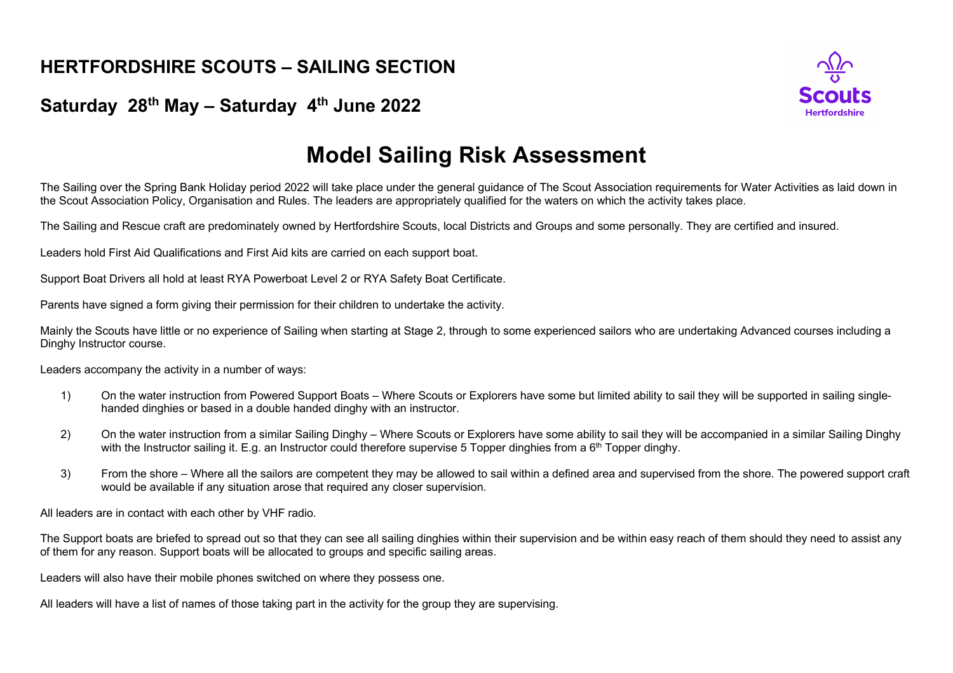## **HERTFORDSHIRE SCOUTS – SAILING SECTION**

## **Saturday 28th May – Saturday 4th June 2022**



## **Model Sailing Risk Assessment**

The Sailing over the Spring Bank Holiday period 2022 will take place under the general guidance of The Scout Association requirements for Water Activities as laid down in the Scout Association Policy, Organisation and Rules. The leaders are appropriately qualified for the waters on which the activity takes place.

The Sailing and Rescue craft are predominately owned by Hertfordshire Scouts, local Districts and Groups and some personally. They are certified and insured.

Leaders hold First Aid Qualifications and First Aid kits are carried on each support boat.

Support Boat Drivers all hold at least RYA Powerboat Level 2 or RYA Safety Boat Certificate.

Parents have signed a form giving their permission for their children to undertake the activity.

Mainly the Scouts have little or no experience of Sailing when starting at Stage 2, through to some experienced sailors who are undertaking Advanced courses including a Dinghy Instructor course.

Leaders accompany the activity in a number of ways:

- 1) On the water instruction from Powered Support Boats Where Scouts or Explorers have some but limited ability to sail they will be supported in sailing singlehanded dinghies or based in a double handed dinghy with an instructor.
- 2) On the water instruction from a similar Sailing Dinghy Where Scouts or Explorers have some ability to sail they will be accompanied in a similar Sailing Dinghy with the Instructor sailing it. E.g. an Instructor could therefore supervise 5 Topper dinghies from a  $6<sup>th</sup>$  Topper dinghy.
- 3) From the shore Where all the sailors are competent they may be allowed to sail within a defined area and supervised from the shore. The powered support craft would be available if any situation arose that required any closer supervision.

All leaders are in contact with each other by VHF radio.

The Support boats are briefed to spread out so that they can see all sailing dinghies within their supervision and be within easy reach of them should they need to assist any of them for any reason. Support boats will be allocated to groups and specific sailing areas.

Leaders will also have their mobile phones switched on where they possess one.

All leaders will have a list of names of those taking part in the activity for the group they are supervising.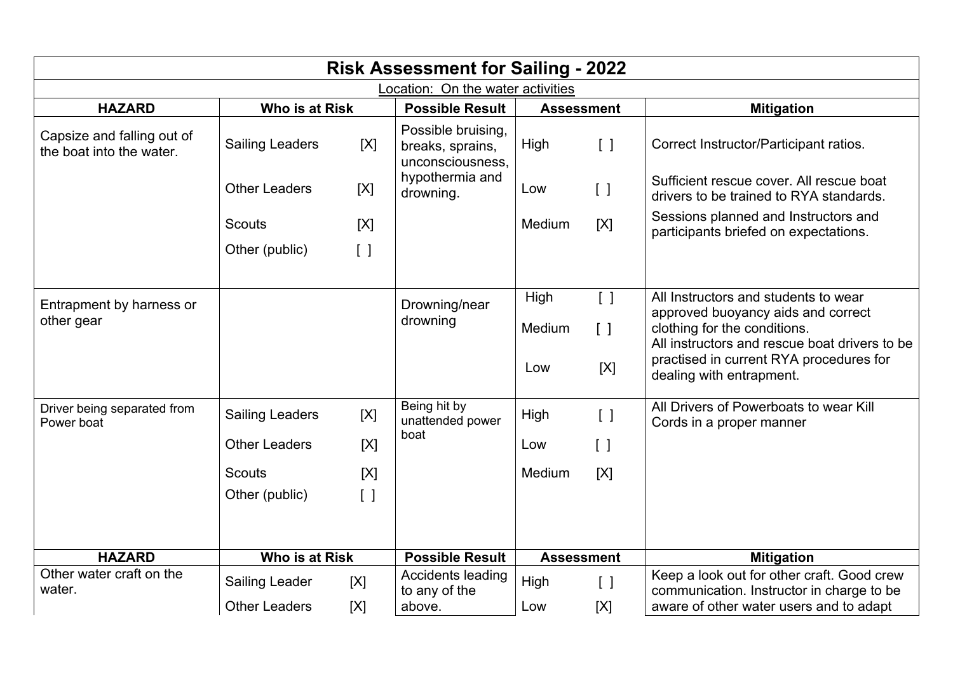| <b>Risk Assessment for Sailing - 2022</b>              |                        |                   |                                                            |                   |                                   |                                                                                         |  |  |
|--------------------------------------------------------|------------------------|-------------------|------------------------------------------------------------|-------------------|-----------------------------------|-----------------------------------------------------------------------------------------|--|--|
| Location: On the water activities                      |                        |                   |                                                            |                   |                                   |                                                                                         |  |  |
| <b>HAZARD</b>                                          | <b>Who is at Risk</b>  |                   | <b>Possible Result</b>                                     | <b>Assessment</b> |                                   | <b>Mitigation</b>                                                                       |  |  |
| Capsize and falling out of<br>the boat into the water. | <b>Sailing Leaders</b> | [X]               | Possible bruising,<br>breaks, sprains,<br>unconsciousness, | High              | $\begin{bmatrix} \end{bmatrix}$   | Correct Instructor/Participant ratios.                                                  |  |  |
|                                                        | <b>Other Leaders</b>   | [X]               | hypothermia and<br>drowning.                               | Low               | $\begin{bmatrix} 1 \end{bmatrix}$ | Sufficient rescue cover. All rescue boat<br>drivers to be trained to RYA standards.     |  |  |
|                                                        | <b>Scouts</b>          | [X]               |                                                            | Medium            | [X]                               | Sessions planned and Instructors and<br>participants briefed on expectations.           |  |  |
|                                                        | Other (public)         | $\lceil$ $\rceil$ |                                                            |                   |                                   |                                                                                         |  |  |
| Entrapment by harness or                               |                        |                   | Drowning/near                                              | High              | $\begin{bmatrix} \end{bmatrix}$   | All Instructors and students to wear<br>approved buoyancy aids and correct              |  |  |
| other gear                                             |                        |                   | drowning                                                   | Medium            | $\begin{bmatrix} \end{bmatrix}$   | clothing for the conditions.<br>All instructors and rescue boat drivers to be           |  |  |
|                                                        |                        |                   |                                                            | Low               | [X]                               | practised in current RYA procedures for<br>dealing with entrapment.                     |  |  |
| Driver being separated from<br>Power boat              | <b>Sailing Leaders</b> | [X]               | Being hit by<br>unattended power                           | High              | $\lceil$ $\rceil$                 | All Drivers of Powerboats to wear Kill<br>Cords in a proper manner                      |  |  |
|                                                        | <b>Other Leaders</b>   | [X]               | boat                                                       | Low               | $\left[ \ \right]$                |                                                                                         |  |  |
|                                                        | <b>Scouts</b>          | [X]               |                                                            | Medium            | [X]                               |                                                                                         |  |  |
|                                                        | Other (public)         | $\left[\right]$   |                                                            |                   |                                   |                                                                                         |  |  |
|                                                        |                        |                   |                                                            |                   |                                   |                                                                                         |  |  |
| <b>HAZARD</b>                                          | Who is at Risk         |                   | <b>Possible Result</b>                                     |                   | <b>Assessment</b>                 | <b>Mitigation</b>                                                                       |  |  |
| Other water craft on the<br>water.                     | <b>Sailing Leader</b>  | [X]               | <b>Accidents leading</b><br>to any of the                  | High              | $\begin{bmatrix} 1 \end{bmatrix}$ | Keep a look out for other craft. Good crew<br>communication. Instructor in charge to be |  |  |
|                                                        | <b>Other Leaders</b>   | [X]               | above.                                                     | Low               | [X]                               | aware of other water users and to adapt                                                 |  |  |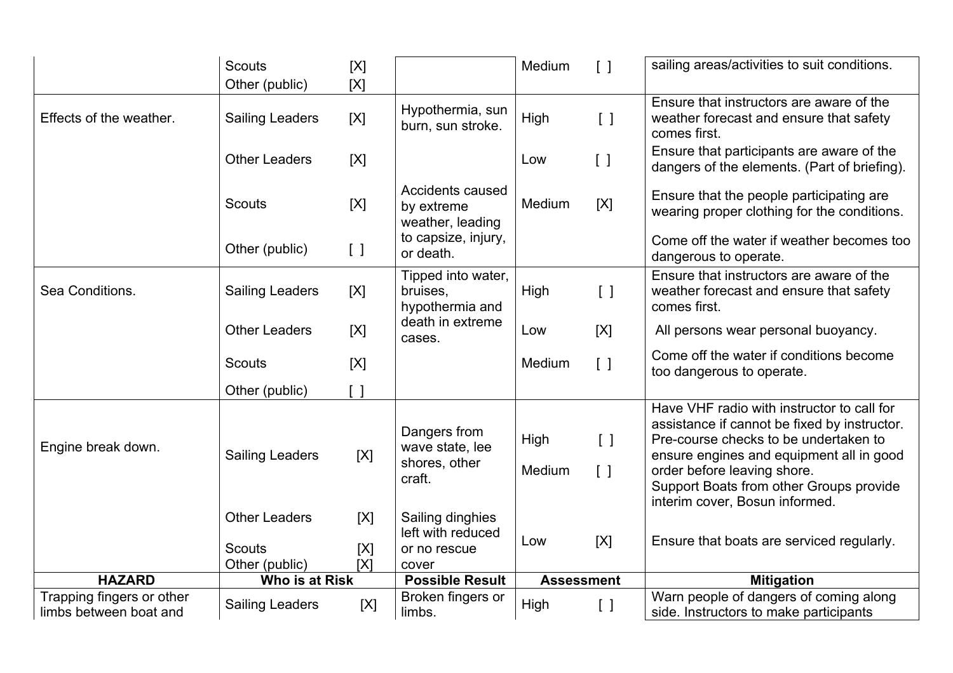|                                                     | <b>Scouts</b>                                           | [X]                                         |                                                                | Medium            | $\left[\begin{array}{c}1\end{array}\right]$                                    | sailing areas/activities to suit conditions.                                                                                                                                                                                                                                                |
|-----------------------------------------------------|---------------------------------------------------------|---------------------------------------------|----------------------------------------------------------------|-------------------|--------------------------------------------------------------------------------|---------------------------------------------------------------------------------------------------------------------------------------------------------------------------------------------------------------------------------------------------------------------------------------------|
|                                                     | Other (public)                                          | [X]                                         |                                                                |                   |                                                                                |                                                                                                                                                                                                                                                                                             |
| Effects of the weather.                             | <b>Sailing Leaders</b>                                  | [X]                                         | Hypothermia, sun<br>burn, sun stroke.                          | High              | $\lceil$ $\rceil$                                                              | Ensure that instructors are aware of the<br>weather forecast and ensure that safety<br>comes first.                                                                                                                                                                                         |
|                                                     | <b>Other Leaders</b>                                    | [X]                                         |                                                                | Low               | $\left[ \quad \right]$                                                         | Ensure that participants are aware of the<br>dangers of the elements. (Part of briefing).                                                                                                                                                                                                   |
|                                                     | <b>Scouts</b>                                           | [X]                                         | Accidents caused<br>by extreme<br>weather, leading             | Medium            | [X]                                                                            | Ensure that the people participating are<br>wearing proper clothing for the conditions.                                                                                                                                                                                                     |
|                                                     | Other (public)                                          | $\left[\begin{array}{c}1\end{array}\right]$ | to capsize, injury,<br>or death.                               |                   |                                                                                | Come off the water if weather becomes too<br>dangerous to operate.                                                                                                                                                                                                                          |
| Sea Conditions.                                     | <b>Sailing Leaders</b>                                  | [X]                                         | Tipped into water,<br>bruises,<br>hypothermia and              | High              | $\lceil$ $\rceil$                                                              | Ensure that instructors are aware of the<br>weather forecast and ensure that safety<br>comes first.                                                                                                                                                                                         |
|                                                     | <b>Other Leaders</b>                                    | [X]                                         | death in extreme<br>cases.                                     | Low               | [X]                                                                            | All persons wear personal buoyancy.                                                                                                                                                                                                                                                         |
|                                                     | <b>Scouts</b>                                           | [X]                                         |                                                                | Medium            | $\lceil$ $\rceil$                                                              | Come off the water if conditions become<br>too dangerous to operate.                                                                                                                                                                                                                        |
|                                                     | Other (public)                                          | $\lceil$ $\rceil$                           |                                                                |                   |                                                                                |                                                                                                                                                                                                                                                                                             |
| Engine break down.                                  | <b>Sailing Leaders</b>                                  | [X]                                         | Dangers from<br>wave state, lee<br>shores, other<br>craft.     | High<br>Medium    | $\begin{bmatrix} \end{bmatrix}$<br>$\left[\begin{array}{c}1\end{array}\right]$ | Have VHF radio with instructor to call for<br>assistance if cannot be fixed by instructor.<br>Pre-course checks to be undertaken to<br>ensure engines and equipment all in good<br>order before leaving shore.<br>Support Boats from other Groups provide<br>interim cover, Bosun informed. |
|                                                     | <b>Other Leaders</b><br><b>Scouts</b><br>Other (public) | [X]<br>[X]<br>[X]                           | Sailing dinghies<br>left with reduced<br>or no rescue<br>cover | Low               | [X]                                                                            | Ensure that boats are serviced regularly.                                                                                                                                                                                                                                                   |
| <b>HAZARD</b>                                       | Who is at Risk                                          |                                             | <b>Possible Result</b>                                         | <b>Assessment</b> |                                                                                | <b>Mitigation</b>                                                                                                                                                                                                                                                                           |
| Trapping fingers or other<br>limbs between boat and | <b>Sailing Leaders</b>                                  | [X]                                         | Broken fingers or<br>limbs.                                    | High              | $\lceil$ $\rceil$                                                              | Warn people of dangers of coming along<br>side. Instructors to make participants                                                                                                                                                                                                            |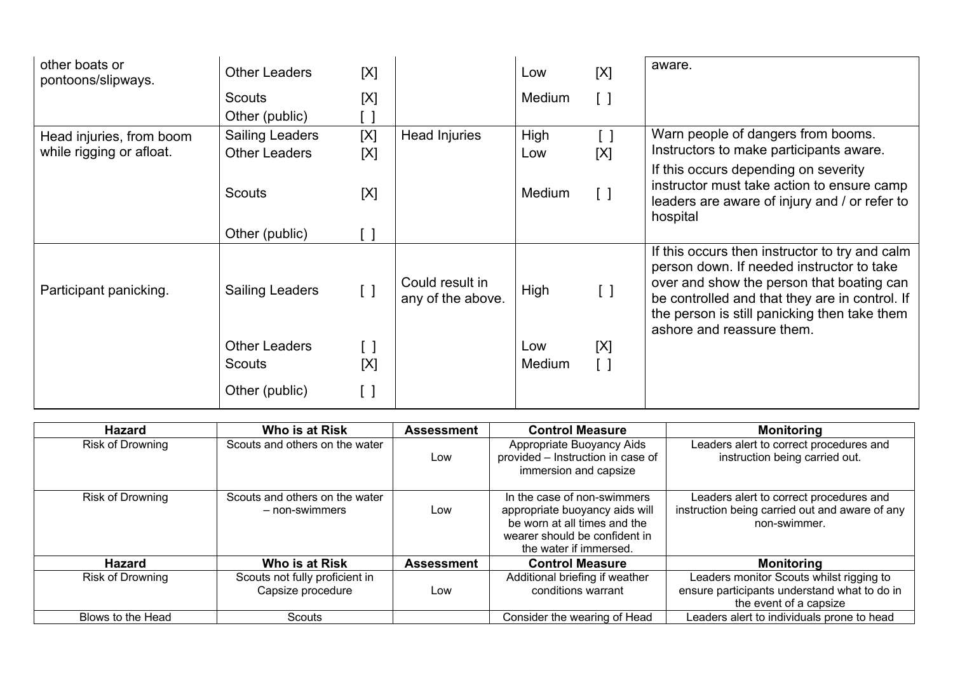| other boats or<br>pontoons/slipways. | <b>Other Leaders</b>                  | [X]                                         |                                      | Low                  | [X]                | aware.                                                                                                                                                                                                                                                                  |
|--------------------------------------|---------------------------------------|---------------------------------------------|--------------------------------------|----------------------|--------------------|-------------------------------------------------------------------------------------------------------------------------------------------------------------------------------------------------------------------------------------------------------------------------|
|                                      | <b>Scouts</b>                         | [X]                                         |                                      | Medium               | [ ]                |                                                                                                                                                                                                                                                                         |
|                                      | Other (public)                        |                                             |                                      |                      |                    |                                                                                                                                                                                                                                                                         |
| Head injuries, from boom             | <b>Sailing Leaders</b>                | [X]                                         | <b>Head Injuries</b>                 | High                 | [ ]                | Warn people of dangers from booms.                                                                                                                                                                                                                                      |
| while rigging or afloat.             | <b>Other Leaders</b>                  | [X]                                         |                                      | Low                  | [X]                | Instructors to make participants aware.                                                                                                                                                                                                                                 |
|                                      | <b>Scouts</b>                         | [X]                                         |                                      | <b>Medium</b>        | $\left[ \ \right]$ | If this occurs depending on severity<br>instructor must take action to ensure camp<br>leaders are aware of injury and / or refer to<br>hospital                                                                                                                         |
|                                      | Other (public)                        | $\left[ \quad \right]$                      |                                      |                      |                    |                                                                                                                                                                                                                                                                         |
| Participant panicking.               | <b>Sailing Leaders</b>                | $\left[\begin{array}{c}1\end{array}\right]$ | Could result in<br>any of the above. | High                 | $\lceil$ $\rceil$  | If this occurs then instructor to try and calm<br>person down. If needed instructor to take<br>over and show the person that boating can<br>be controlled and that they are in control. If<br>the person is still panicking then take them<br>ashore and reassure them. |
|                                      | <b>Other Leaders</b><br><b>Scouts</b> | $\left[ \ \ \right]$<br>[X]                 |                                      | Low<br><b>Medium</b> | [X]<br>[ ]         |                                                                                                                                                                                                                                                                         |
|                                      | Other (public)                        | $\left[ \ \right]$                          |                                      |                      |                    |                                                                                                                                                                                                                                                                         |

| <b>Hazard</b>           | Who is at Risk                                      | <b>Assessment</b> | <b>Control Measure</b>                                                                                                                                   | <b>Monitoring</b>                                                                                                  |
|-------------------------|-----------------------------------------------------|-------------------|----------------------------------------------------------------------------------------------------------------------------------------------------------|--------------------------------------------------------------------------------------------------------------------|
| <b>Risk of Drowning</b> | Scouts and others on the water                      | Low               | Appropriate Buoyancy Aids<br>provided - Instruction in case of<br>immersion and capsize                                                                  | Leaders alert to correct procedures and<br>instruction being carried out.                                          |
| <b>Risk of Drowning</b> | Scouts and others on the water<br>- non-swimmers    | Low               | In the case of non-swimmers<br>appropriate buoyancy aids will<br>be worn at all times and the<br>wearer should be confident in<br>the water if immersed. | Leaders alert to correct procedures and<br>instruction being carried out and aware of any<br>non-swimmer.          |
| Hazard                  | Who is at Risk                                      | <b>Assessment</b> | <b>Control Measure</b>                                                                                                                                   | <b>Monitoring</b>                                                                                                  |
| <b>Risk of Drowning</b> | Scouts not fully proficient in<br>Capsize procedure | Low               | Additional briefing if weather<br>conditions warrant                                                                                                     | Leaders monitor Scouts whilst rigging to<br>ensure participants understand what to do in<br>the event of a capsize |
| Blows to the Head       | Scouts                                              |                   | Consider the wearing of Head                                                                                                                             | Leaders alert to individuals prone to head                                                                         |